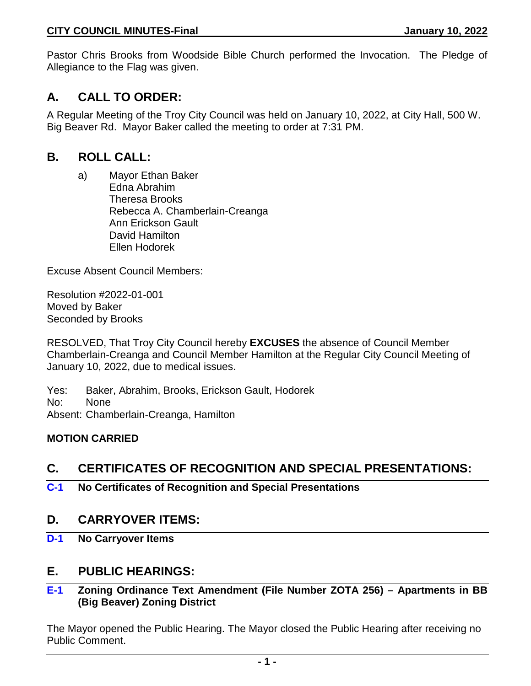Pastor Chris Brooks from Woodside Bible Church performed the Invocation. The Pledge of Allegiance to the Flag was given.

# **A. CALL TO ORDER:**

A Regular Meeting of the Troy City Council was held on January 10, 2022, at City Hall, 500 W. Big Beaver Rd. Mayor Baker called the meeting to order at 7:31 PM.

# **B. ROLL CALL:**

a) Mayor Ethan Baker Edna Abrahim Theresa Brooks Rebecca A. Chamberlain-Creanga Ann Erickson Gault David Hamilton Ellen Hodorek

Excuse Absent Council Members:

Resolution #2022-01-001 Moved by Baker Seconded by Brooks

RESOLVED, That Troy City Council hereby **EXCUSES** the absence of Council Member Chamberlain-Creanga and Council Member Hamilton at the Regular City Council Meeting of January 10, 2022, due to medical issues.

Yes: Baker, Abrahim, Brooks, Erickson Gault, Hodorek No: None Absent: Chamberlain-Creanga, Hamilton

## **MOTION CARRIED**

# **C. CERTIFICATES OF RECOGNITION AND SPECIAL PRESENTATIONS:**

**C-1 No Certificates of Recognition and Special Presentations**

## **D. CARRYOVER ITEMS:**

**D-1 No Carryover Items**

## **E. PUBLIC HEARINGS:**

## **E-1 Zoning Ordinance Text Amendment (File Number ZOTA 256) – Apartments in BB (Big Beaver) Zoning District**

The Mayor opened the Public Hearing. The Mayor closed the Public Hearing after receiving no Public Comment.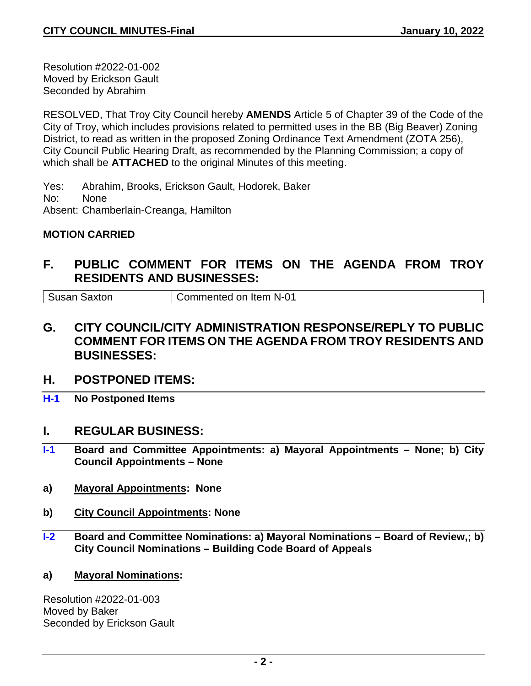Resolution #2022-01-002 Moved by Erickson Gault Seconded by Abrahim

RESOLVED, That Troy City Council hereby **AMENDS** Article 5 of Chapter 39 of the Code of the City of Troy, which includes provisions related to permitted uses in the BB (Big Beaver) Zoning District, to read as written in the proposed Zoning Ordinance Text Amendment (ZOTA 256), City Council Public Hearing Draft, as recommended by the Planning Commission; a copy of which shall be **ATTACHED** to the original Minutes of this meeting.

Yes: Abrahim, Brooks, Erickson Gault, Hodorek, Baker No: None Absent: Chamberlain-Creanga, Hamilton

## **MOTION CARRIED**

# **F. PUBLIC COMMENT FOR ITEMS ON THE AGENDA FROM TROY RESIDENTS AND BUSINESSES:**

Susan Saxton Commented on Item N-01

- **G. CITY COUNCIL/CITY ADMINISTRATION RESPONSE/REPLY TO PUBLIC COMMENT FOR ITEMS ON THE AGENDA FROM TROY RESIDENTS AND BUSINESSES:**
- **H. POSTPONED ITEMS:**
- **H-1 No Postponed Items**

## **I. REGULAR BUSINESS:**

- **I-1 Board and Committee Appointments: a) Mayoral Appointments – None; b) City Council Appointments – None**
- **a) Mayoral Appointments: None**
- **b) City Council Appointments: None**
- **I-2 Board and Committee Nominations: a) Mayoral Nominations – Board of Review,; b) City Council Nominations – Building Code Board of Appeals**
- **a) Mayoral Nominations:**

Resolution #2022-01-003 Moved by Baker Seconded by Erickson Gault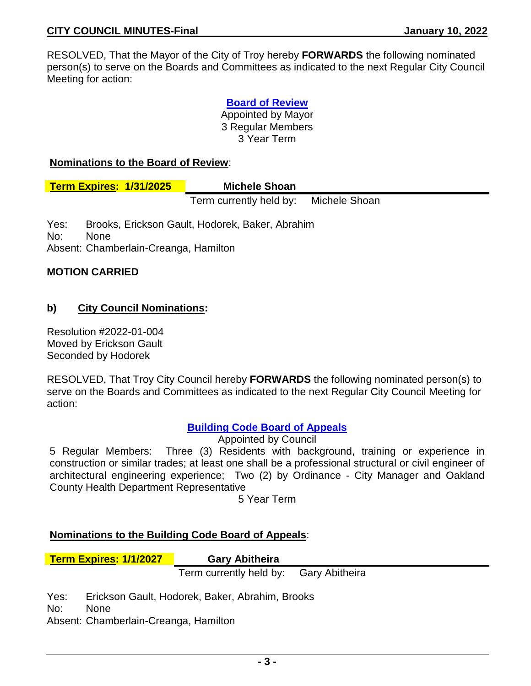RESOLVED, That the Mayor of the City of Troy hereby **FORWARDS** the following nominated person(s) to serve on the Boards and Committees as indicated to the next Regular City Council Meeting for action:

> **Board of Review** Appointed by Mayor 3 Regular Members 3 Year Term

#### **Nominations to the Board of Review**:

**Term Expires: 1/31/2025 Michele Shoan**

Term currently held by: Michele Shoan

Yes: Brooks, Erickson Gault, Hodorek, Baker, Abrahim No: None Absent: Chamberlain-Creanga, Hamilton

## **MOTION CARRIED**

## **b) City Council Nominations:**

Resolution #2022-01-004 Moved by Erickson Gault Seconded by Hodorek

RESOLVED, That Troy City Council hereby **FORWARDS** the following nominated person(s) to serve on the Boards and Committees as indicated to the next Regular City Council Meeting for action:

## **Building Code Board of Appeals**

Appointed by Council

5 Regular Members: Three (3) Residents with background, training or experience in construction or similar trades; at least one shall be a professional structural or civil engineer of architectural engineering experience; Two (2) by Ordinance - City Manager and Oakland County Health Department Representative

5 Year Term

## **Nominations to the Building Code Board of Appeals**:

**Term Expires: 1/1/2027 Gary Abitheira**

Term currently held by: Gary Abitheira

Yes: Erickson Gault, Hodorek, Baker, Abrahim, Brooks

No: None

Absent: Chamberlain-Creanga, Hamilton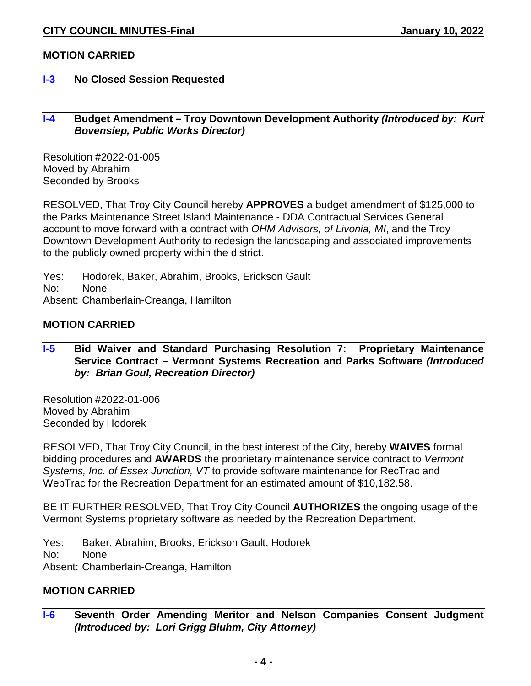## **MOTION CARRIED**

## **I-3 No Closed Session Requested**

## **I-4 Budget Amendment – Troy Downtown Development Authority** *(Introduced by: Kurt Bovensiep, Public Works Director)*

Resolution #2022-01-005 Moved by Abrahim Seconded by Brooks

RESOLVED, That Troy City Council hereby **APPROVES** a budget amendment of \$125,000 to the Parks Maintenance Street Island Maintenance - DDA Contractual Services General account to move forward with a contract with *OHM Advisors, of Livonia, MI*, and the Troy Downtown Development Authority to redesign the landscaping and associated improvements to the publicly owned property within the district.

Yes: Hodorek, Baker, Abrahim, Brooks, Erickson Gault No: None Absent: Chamberlain-Creanga, Hamilton

#### **MOTION CARRIED**

## **I-5 Bid Waiver and Standard Purchasing Resolution 7: Proprietary Maintenance Service Contract – Vermont Systems Recreation and Parks Software** *(Introduced by: Brian Goul, Recreation Director)*

Resolution #2022-01-006 Moved by Abrahim Seconded by Hodorek

RESOLVED, That Troy City Council, in the best interest of the City, hereby **WAIVES** formal bidding procedures and **AWARDS** the proprietary maintenance service contract to *Vermont Systems, Inc. of Essex Junction, VT* to provide software maintenance for RecTrac and WebTrac for the Recreation Department for an estimated amount of \$10,182.58.

BE IT FURTHER RESOLVED, That Troy City Council **AUTHORIZES** the ongoing usage of the Vermont Systems proprietary software as needed by the Recreation Department.

Yes: Baker, Abrahim, Brooks, Erickson Gault, Hodorek

No: None

Absent: Chamberlain-Creanga, Hamilton

## **MOTION CARRIED**

**I-6 Seventh Order Amending Meritor and Nelson Companies Consent Judgment**  *(Introduced by: Lori Grigg Bluhm, City Attorney)*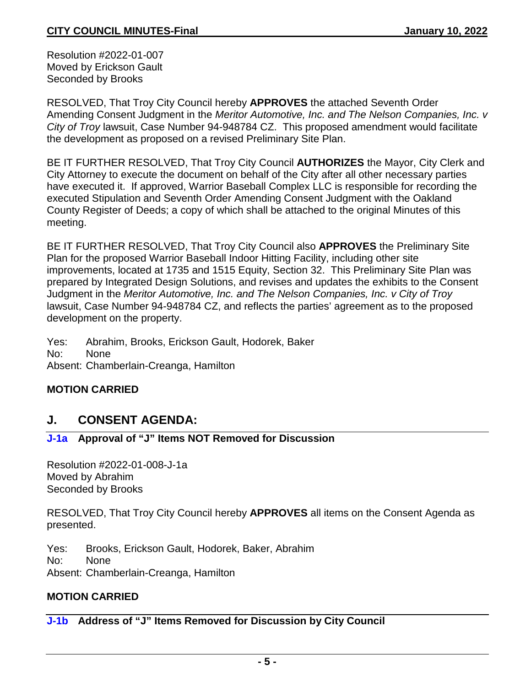Resolution #2022-01-007 Moved by Erickson Gault Seconded by Brooks

RESOLVED, That Troy City Council hereby **APPROVES** the attached Seventh Order Amending Consent Judgment in the *Meritor Automotive, Inc. and The Nelson Companies, Inc. v City of Troy* lawsuit, Case Number 94-948784 CZ. This proposed amendment would facilitate the development as proposed on a revised Preliminary Site Plan.

BE IT FURTHER RESOLVED, That Troy City Council **AUTHORIZES** the Mayor, City Clerk and City Attorney to execute the document on behalf of the City after all other necessary parties have executed it. If approved, Warrior Baseball Complex LLC is responsible for recording the executed Stipulation and Seventh Order Amending Consent Judgment with the Oakland County Register of Deeds; a copy of which shall be attached to the original Minutes of this meeting.

BE IT FURTHER RESOLVED, That Troy City Council also **APPROVES** the Preliminary Site Plan for the proposed Warrior Baseball Indoor Hitting Facility, including other site improvements, located at 1735 and 1515 Equity, Section 32. This Preliminary Site Plan was prepared by Integrated Design Solutions, and revises and updates the exhibits to the Consent Judgment in the *Meritor Automotive, Inc. and The Nelson Companies, Inc. v City of Troy*  lawsuit, Case Number 94-948784 CZ, and reflects the parties' agreement as to the proposed development on the property.

Yes: Abrahim, Brooks, Erickson Gault, Hodorek, Baker No: None Absent: Chamberlain-Creanga, Hamilton

## **MOTION CARRIED**

# **J. CONSENT AGENDA:**

## **J-1a Approval of "J" Items NOT Removed for Discussion**

Resolution #2022-01-008-J-1a Moved by Abrahim Seconded by Brooks

RESOLVED, That Troy City Council hereby **APPROVES** all items on the Consent Agenda as presented.

Yes: Brooks, Erickson Gault, Hodorek, Baker, Abrahim No: None Absent: Chamberlain-Creanga, Hamilton

## **MOTION CARRIED**

## **J-1b Address of "J" Items Removed for Discussion by City Council**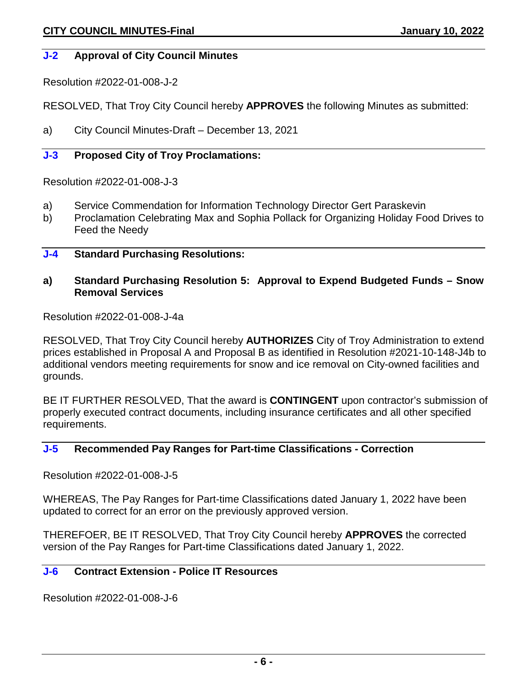### **J-2 Approval of City Council Minutes**

Resolution #2022-01-008-J-2

RESOLVED, That Troy City Council hereby **APPROVES** the following Minutes as submitted:

a) City Council Minutes-Draft – December 13, 2021

## **J-3 Proposed City of Troy Proclamations:**

Resolution #2022-01-008-J-3

- a) Service Commendation for Information Technology Director Gert Paraskevin
- b) Proclamation Celebrating Max and Sophia Pollack for Organizing Holiday Food Drives to Feed the Needy

#### **J-4 Standard Purchasing Resolutions:**

#### **a) Standard Purchasing Resolution 5: Approval to Expend Budgeted Funds – Snow Removal Services**

Resolution #2022-01-008-J-4a

RESOLVED, That Troy City Council hereby **AUTHORIZES** City of Troy Administration to extend prices established in Proposal A and Proposal B as identified in Resolution #2021-10-148-J4b to additional vendors meeting requirements for snow and ice removal on City-owned facilities and grounds.

BE IT FURTHER RESOLVED, That the award is **CONTINGENT** upon contractor's submission of properly executed contract documents, including insurance certificates and all other specified requirements.

## **J-5 Recommended Pay Ranges for Part-time Classifications - Correction**

Resolution #2022-01-008-J-5

WHEREAS, The Pay Ranges for Part-time Classifications dated January 1, 2022 have been updated to correct for an error on the previously approved version.

THEREFOER, BE IT RESOLVED, That Troy City Council hereby **APPROVES** the corrected version of the Pay Ranges for Part-time Classifications dated January 1, 2022.

### **J-6 Contract Extension - Police IT Resources**

Resolution #2022-01-008-J-6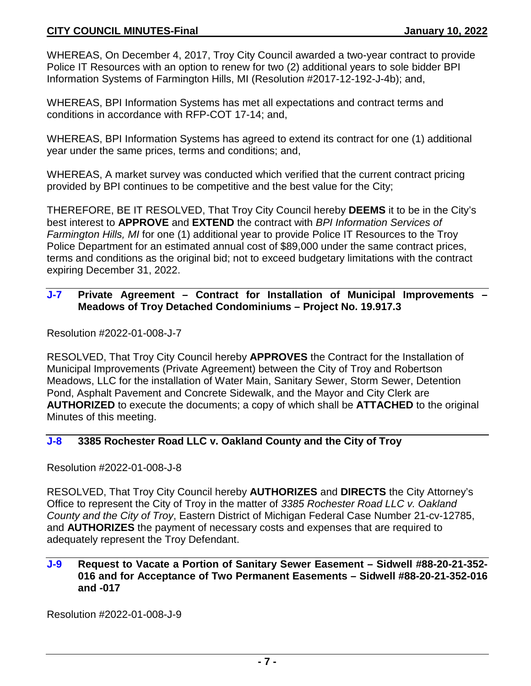WHEREAS, On December 4, 2017, Troy City Council awarded a two-year contract to provide Police IT Resources with an option to renew for two (2) additional years to sole bidder BPI Information Systems of Farmington Hills, MI (Resolution #2017-12-192-J-4b); and,

WHEREAS, BPI Information Systems has met all expectations and contract terms and conditions in accordance with RFP-COT 17-14; and,

WHEREAS, BPI Information Systems has agreed to extend its contract for one (1) additional year under the same prices, terms and conditions; and,

WHEREAS, A market survey was conducted which verified that the current contract pricing provided by BPI continues to be competitive and the best value for the City;

THEREFORE, BE IT RESOLVED, That Troy City Council hereby **DEEMS** it to be in the City's best interest to **APPROVE** and **EXTEND** the contract with *BPI Information Services of Farmington Hills, MI* for one (1) additional year to provide Police IT Resources to the Troy Police Department for an estimated annual cost of \$89,000 under the same contract prices, terms and conditions as the original bid; not to exceed budgetary limitations with the contract expiring December 31, 2022.

## **J-7 Private Agreement – Contract for Installation of Municipal Improvements – Meadows of Troy Detached Condominiums – Project No. 19.917.3**

Resolution #2022-01-008-J-7

RESOLVED, That Troy City Council hereby **APPROVES** the Contract for the Installation of Municipal Improvements (Private Agreement) between the City of Troy and Robertson Meadows, LLC for the installation of Water Main, Sanitary Sewer, Storm Sewer, Detention Pond, Asphalt Pavement and Concrete Sidewalk, and the Mayor and City Clerk are **AUTHORIZED** to execute the documents; a copy of which shall be **ATTACHED** to the original Minutes of this meeting.

## **J-8 3385 Rochester Road LLC v. Oakland County and the City of Troy**

Resolution #2022-01-008-J-8

RESOLVED, That Troy City Council hereby **AUTHORIZES** and **DIRECTS** the City Attorney's Office to represent the City of Troy in the matter of *3385 Rochester Road LLC v. Oakland County and the City of Troy*, Eastern District of Michigan Federal Case Number 21-cv-12785, and **AUTHORIZES** the payment of necessary costs and expenses that are required to adequately represent the Troy Defendant.

## **J-9 Request to Vacate a Portion of Sanitary Sewer Easement – Sidwell #88-20-21-352- 016 and for Acceptance of Two Permanent Easements – Sidwell #88-20-21-352-016 and -017**

Resolution #2022-01-008-J-9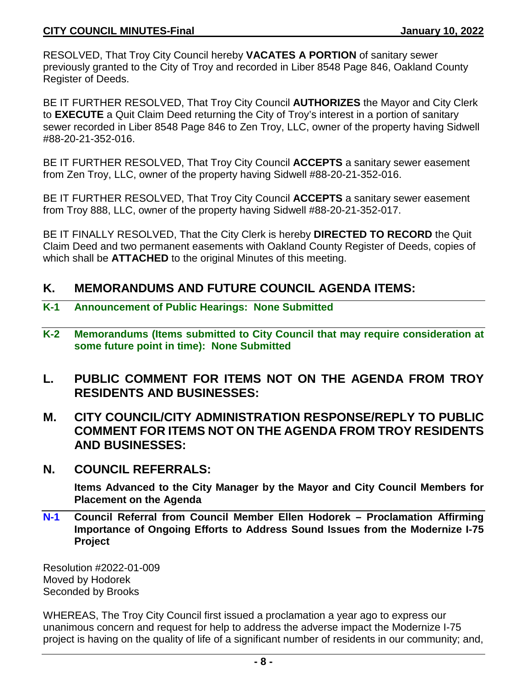RESOLVED, That Troy City Council hereby **VACATES A PORTION** of sanitary sewer previously granted to the City of Troy and recorded in Liber 8548 Page 846, Oakland County Register of Deeds.

BE IT FURTHER RESOLVED, That Troy City Council **AUTHORIZES** the Mayor and City Clerk to **EXECUTE** a Quit Claim Deed returning the City of Troy's interest in a portion of sanitary sewer recorded in Liber 8548 Page 846 to Zen Troy, LLC, owner of the property having Sidwell #88-20-21-352-016.

BE IT FURTHER RESOLVED, That Troy City Council **ACCEPTS** a sanitary sewer easement from Zen Troy, LLC, owner of the property having Sidwell #88-20-21-352-016.

BE IT FURTHER RESOLVED, That Troy City Council **ACCEPTS** a sanitary sewer easement from Troy 888, LLC, owner of the property having Sidwell #88-20-21-352-017.

BE IT FINALLY RESOLVED, That the City Clerk is hereby **DIRECTED TO RECORD** the Quit Claim Deed and two permanent easements with Oakland County Register of Deeds, copies of which shall be **ATTACHED** to the original Minutes of this meeting.

## **K. MEMORANDUMS AND FUTURE COUNCIL AGENDA ITEMS:**

- **K-1 Announcement of Public Hearings: None Submitted**
- **K-2 Memorandums (Items submitted to City Council that may require consideration at some future point in time): None Submitted**
- **L. PUBLIC COMMENT FOR ITEMS NOT ON THE AGENDA FROM TROY RESIDENTS AND BUSINESSES:**
- **M. CITY COUNCIL/CITY ADMINISTRATION RESPONSE/REPLY TO PUBLIC COMMENT FOR ITEMS NOT ON THE AGENDA FROM TROY RESIDENTS AND BUSINESSES:**
- **N. COUNCIL REFERRALS:**

**Items Advanced to the City Manager by the Mayor and City Council Members for Placement on the Agenda**

**N-1 Council Referral from Council Member Ellen Hodorek – Proclamation Affirming Importance of Ongoing Efforts to Address Sound Issues from the Modernize I-75 Project**

Resolution #2022-01-009 Moved by Hodorek Seconded by Brooks

WHEREAS, The Troy City Council first issued a proclamation a year ago to express our unanimous concern and request for help to address the adverse impact the Modernize I-75 project is having on the quality of life of a significant number of residents in our community; and,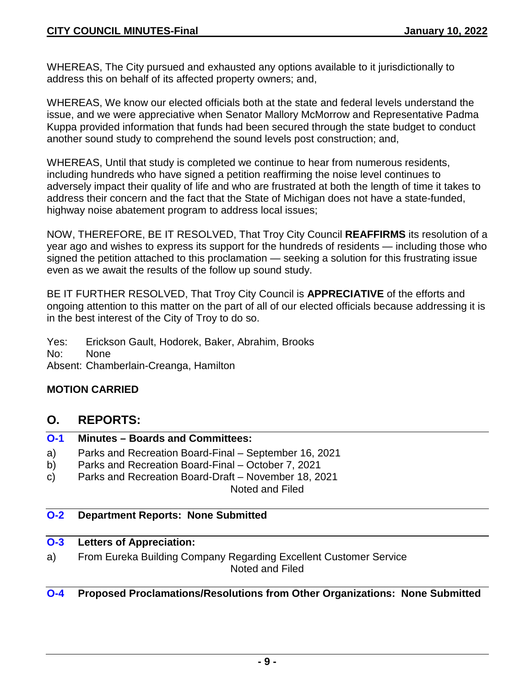WHEREAS, The City pursued and exhausted any options available to it jurisdictionally to address this on behalf of its affected property owners; and,

WHEREAS, We know our elected officials both at the state and federal levels understand the issue, and we were appreciative when Senator Mallory McMorrow and Representative Padma Kuppa provided information that funds had been secured through the state budget to conduct another sound study to comprehend the sound levels post construction; and,

WHEREAS, Until that study is completed we continue to hear from numerous residents, including hundreds who have signed a petition reaffirming the noise level continues to adversely impact their quality of life and who are frustrated at both the length of time it takes to address their concern and the fact that the State of Michigan does not have a state-funded, highway noise abatement program to address local issues;

NOW, THEREFORE, BE IT RESOLVED, That Troy City Council **REAFFIRMS** its resolution of a year ago and wishes to express its support for the hundreds of residents — including those who signed the petition attached to this proclamation — seeking a solution for this frustrating issue even as we await the results of the follow up sound study.

BE IT FURTHER RESOLVED, That Troy City Council is **APPRECIATIVE** of the efforts and ongoing attention to this matter on the part of all of our elected officials because addressing it is in the best interest of the City of Troy to do so.

Yes: Erickson Gault, Hodorek, Baker, Abrahim, Brooks

No: None

Absent: Chamberlain-Creanga, Hamilton

## **MOTION CARRIED**

## **O. REPORTS:**

## **O-1 Minutes – Boards and Committees:**

- a) Parks and Recreation Board-Final September 16, 2021
- b) Parks and Recreation Board-Final October 7, 2021
- c) Parks and Recreation Board-Draft November 18, 2021 Noted and Filed

## **O-2 Department Reports: None Submitted**

## **O-3 Letters of Appreciation:**

a) From Eureka Building Company Regarding Excellent Customer Service Noted and Filed

## **O-4 Proposed Proclamations/Resolutions from Other Organizations: None Submitted**